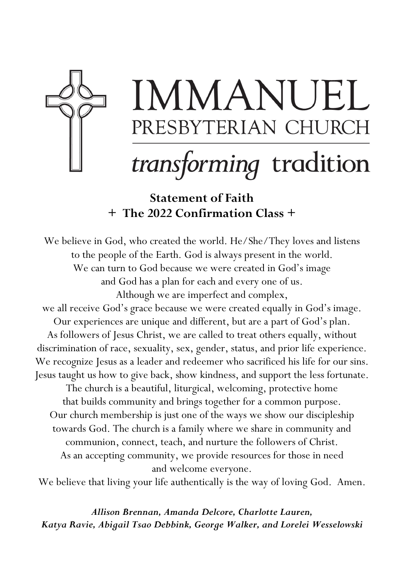

# IMMANUEL PRESBYTERIAN CHURCH

# transforming tradition

Statement of Faith + The 2022 Confirmation Class +

We believe in God, who created the world. He/She/They loves and listens to the people of the Earth. God is always present in the world. We can turn to God because we were created in God's image and God has a plan for each and every one of us. Although we are imperfect and complex, we all receive God's grace because we were created equally in God's image. Our experiences are unique and different, but are a part of God's plan. As followers of Jesus Christ, we are called to treat others equally, without discrimination of race, sexuality, sex, gender, status, and prior life experience. We recognize Jesus as a leader and redeemer who sacrificed his life for our sins. Jesus taught us how to give back, show kindness, and support the less fortunate. The church is a beautiful, liturgical, welcoming, protective home

that builds community and brings together for a common purpose. Our church membership is just one of the ways we show our discipleship towards God. The church is a family where we share in community and communion, connect, teach, and nurture the followers of Christ. As an accepting community, we provide resources for those in need and welcome everyone.

We believe that living your life authentically is the way of loving God. Amen.

Allison Brennan, Amanda Delcore, Charlotte Lauren, Katya Ravie, Abigail Tsao Debbink, George Walker, and Lorelei Wesselowski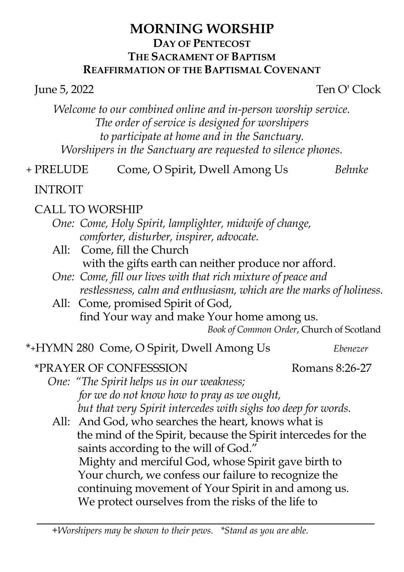### MORNING WORSHIP DAY OF PENTECOST THE SACRAMENT OF BAPTISM REAFFIRMATION OF THE BAPTISMAL COVENANT

June 5, 2022 Ten O' Clock

Welcome to our combined online and in-person worship service. The order of service is designed for worshipers to participate at home and in the Sanctuary. Worshipers in the Sanctuary are requested to silence phones.

+ PRELUDE Come, O Spirit, Dwell Among Us Behnke

INTROIT

# CALL TO WORSHIP

- One: Come, Holy Spirit, lamplighter, midwife of change, comforter, disturber, inspirer, advocate.
- All: Come, fill the Church with the gifts earth can neither produce nor afford.
- One: Come, fill our lives with that rich mixture of peace and restlessness, calm and enthusiasm, which are the marks of holiness.
- All: Come, promised Spirit of God, find Your way and make Your home among us.

Book of Common Order, Church of Scotland

### \*+HYMN 280 Come, O Spirit, Dwell Among Us Ebenezer

# \*PRAYER OF CONFESSSION Romans 8:26-27

One: "The Spirit helps us in our weakness; for we do not know how to pray as we ought, but that very Spirit intercedes with sighs too deep for words.

All: And God, who searches the heart, knows what is the mind of the Spirit, because the Spirit intercedes for the saints according to the will of God." Mighty and merciful God, whose Spirit gave birth to Your church, we confess our failure to recognize the continuing movement of Your Spirit in and among us. We protect ourselves from the risks of the life to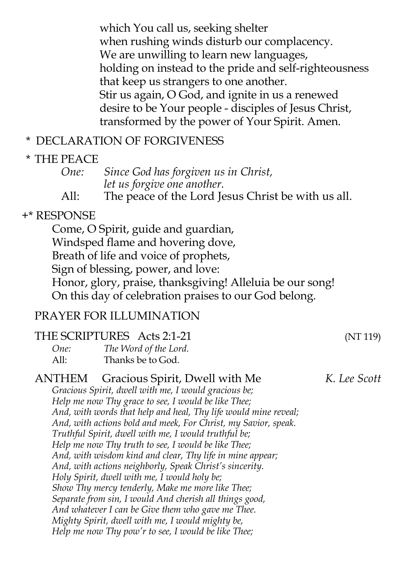which You call us, seeking shelter when rushing winds disturb our complacency. We are unwilling to learn new languages, holding on instead to the pride and self-righteousness that keep us strangers to one another. Stir us again, O God, and ignite in us a renewed desire to be Your people - disciples of Jesus Christ, transformed by the power of Your Spirit. Amen.

### \* DECLARATION OF FORGIVENESS

### \* THE PEACE

# One: Since God has forgiven us in Christ, let us forgive one another.<br>All: The peace of the Lord I

The peace of the Lord Jesus Christ be with us all.

# +\* RESPONSE

Come, O Spirit, guide and guardian, Windsped flame and hovering dove, Breath of life and voice of prophets, Sign of blessing, power, and love: Honor, glory, praise, thanksgiving! Alleluia be our song! On this day of celebration praises to our God belong.

# PRAYER FOR ILLUMINATION

### THE SCRIPTURES Acts 2:1-21 (NT 119)

| One: | The Word of the Lord. |
|------|-----------------------|
| All: | Thanks be to God.     |

#### ANTHEM Gracious Spirit, Dwell with Me K. Lee Scott Gracious Spirit, dwell with me, I would gracious be; Help me now Thy grace to see, I would be like Thee; And, with words that help and heal, Thy life would mine reveal;

And, with actions bold and meek, For Christ, my Savior, speak. Truthful Spirit, dwell with me, I would truthful be;

- Help me now Thy truth to see, I would be like Thee;
- And, with wisdom kind and clear, Thy life in mine appear;

And, with actions neighborly, Speak Christ's sincerity.

Holy Spirit, dwell with me, I would holy be;

Show Thy mercy tenderly, Make me more like Thee;

Separate from sin, I would And cherish all things good,

And whatever I can be Give them who gave me Thee. Mighty Spirit, dwell with me, I would mighty be,

Help me now Thy pow'r to see, I would be like Thee;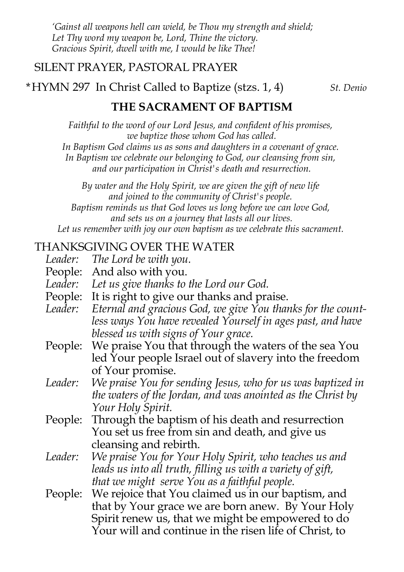'Gainst all weapons hell can wield, be Thou my strength and shield; Let Thy word my weapon be, Lord, Thine the victory. Gracious Spirit, dwell with me, I would be like Thee!

### SILENT PRAYER, PASTORAL PRAYER

\*HYMN 297 In Christ Called to Baptize (stzs.  $1, 4$ ) St. Denio

### THE SACRAMENT OF BAPTISM

Faithful to the word of our Lord Jesus, and confident of his promises, we baptize those whom God has called.

In Baptism God claims us as sons and daughters in a covenant of grace.

In Baptism we celebrate our belonging to God, our cleansing from sin, and our participation in Christ's death and resurrection.

By water and the Holy Spirit, we are given the gift of new life and joined to the community of Christ's people. Baptism reminds us that God loves us long before we can love God, and sets us on a journey that lasts all our lives. Let us remember with joy our own baptism as we celebrate this sacrament.

### THANKSGIVING OVER THE WATER

- Leader: The Lord be with you. People: And also with you. Leader: Let us give thanks to the Lord our God. People: It is right to give our thanks and praise. Leader: Eternal and gracious God, we give You thanks for the countless ways You have revealed Yourself in ages past, and have blessed us with signs of Your grace. People: We praise You that through the waters of the sea You led Your people Israel out of slavery into the freedom of Your promise. Leader: We praise You for sending Jesus, who for us was baptized in the waters of the Jordan, and was anointed as the Christ by Your Holy Spirit. People: Through the baptism of his death and resurrection You set us free from sin and death, and give us cleansing and rebirth.
- Leader: We praise You for Your Holy Spirit, who teaches us and leads us into all truth, filling us with a variety of gift, that we might serve You as a faithful people.
- People: We rejoice that You claimed us in our baptism, and that by Your grace we are born anew. By Your Holy Spirit renew us, that we might be empowered to do Your will and continue in the risen life of Christ, to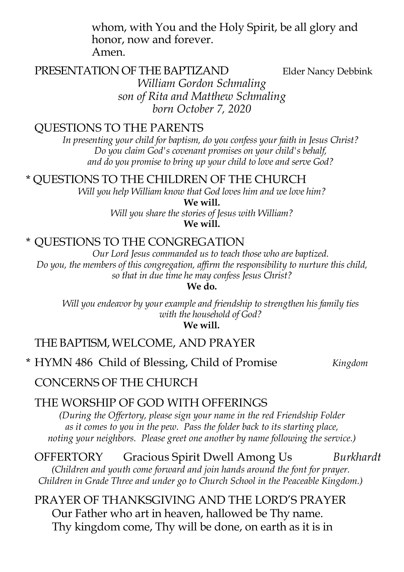whom, with You and the Holy Spirit, be all glory and honor, now and forever. Amen.

PRESENTATION OF THE BAPTIZAND Elder Nancy Debbink William Gordon Schmaling son of Rita and Matthew Schmaling born October 7, 2020

### QUESTIONS TO THE PARENTS

In presenting your child for baptism, do you confess your faith in Jesus Christ? Do you claim God's covenant promises on your child's behalf, and do you promise to bring up your child to love and serve God?

\* QUESTIONS TO THE CHILDREN OF THE CHURCH

Will you help William know that God loves him and we love him?

We will. Will you share the stories of Jesus with William? We will.

### \* QUESTIONS TO THE CONGREGATION

Our Lord Jesus commanded us to teach those who are baptized. Do you, the members of this congregation, affirm the responsibility to nurture this child, so that in due time he may confess Jesus Christ?

We do.

Will you endeavor by your example and friendship to strengthen his family ties with the household of God?

We will.

### THE BAPTISM, WELCOME, AND PRAYER

\* HYMN 486 Child of Blessing, Child of Promise Kingdom

### CONCERNS OF THE CHURCH

### THE WORSHIP OF GOD WITH OFFERINGS

(During the Offertory, please sign your name in the red Friendship Folder as it comes to you in the pew. Pass the folder back to its starting place, noting your neighbors. Please greet one another by name following the service.)

OFFERTORY Gracious Spirit Dwell Among Us Burkhardt (Children and youth come forward and join hands around the font for prayer. Children in Grade Three and under go to Church School in the Peaceable Kingdom.)

PRAYER OF THANKSGIVING AND THE LORD'S PRAYER Our Father who art in heaven, hallowed be Thy name. Thy kingdom come, Thy will be done, on earth as it is in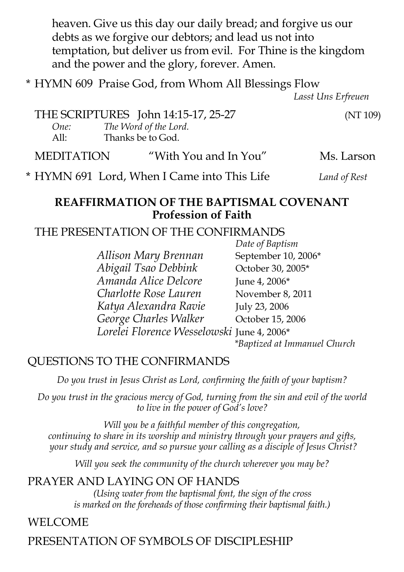heaven. Give us this day our daily bread; and forgive us our debts as we forgive our debtors; and lead us not into temptation, but deliver us from evil. For Thine is the kingdom and the power and the glory, forever. Amen.

\* HYMN 609 Praise God, from Whom All Blessings Flow

Lasst Uns Erfreuen

THE SCRIPTURES John 14:15-17, 25-27 (NT 109) One: The Word of the Lord.<br>All: Thanks be to God Thanks be to God.

MEDITATION "With You and In You" Ms. Larson

\* HYMN 691 Lord, When I Came into This Life Land of Rest

# REAFFIRMATION OF THE BAPTISMAL COVENANT

#### Profession of Faith

### THE PRESENTATION OF THE CONFIRMANDS

 Date of Baptism Allison Mary Brennan September 10, 2006\* Abigail Tsao Debbink October 30, 2005\* Amanda Alice Delcore June 4, 2006\* Charlotte Rose Lauren November 8, 2011 Katya Alexandra Ravie July 23, 2006 George Charles Walker October 15, 2006 Lorelei Florence Wesselowski June 4, 2006\* \*Baptized at Immanuel Church

# QUESTIONS TO THE CONFIRMANDS

Do you trust in Jesus Christ as Lord, confirming the faith of your baptism?

Do you trust in the gracious mercy of God, turning from the sin and evil of the world to live in the power of God's love?

Will you be a faithful member of this congregation, continuing to share in its worship and ministry through your prayers and gifts, your study and service, and so pursue your calling as a disciple of Jesus Christ?

Will you seek the community of the church wherever you may be?

# PRAYER AND LAYING ON OF HANDS

(Using water from the baptismal font, the sign of the cross is marked on the foreheads of those confirming their baptismal faith.)

# WELCOME

# PRESENTATION OF SYMBOLS OF DISCIPLESHIP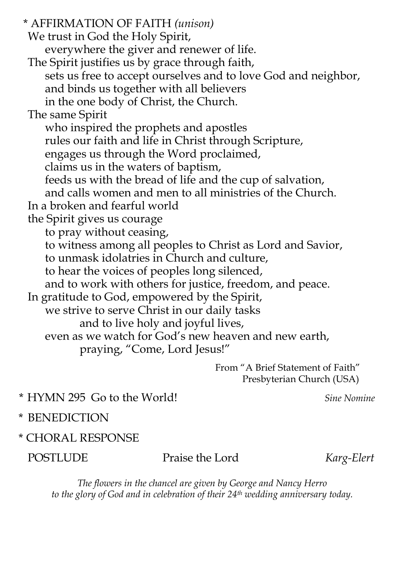\* AFFIRMATION OF FAITH (unison) We trust in God the Holy Spirit, everywhere the giver and renewer of life. The Spirit justifies us by grace through faith, sets us free to accept ourselves and to love God and neighbor, and binds us together with all believers in the one body of Christ, the Church. The same Spirit who inspired the prophets and apostles rules our faith and life in Christ through Scripture, engages us through the Word proclaimed, claims us in the waters of baptism, feeds us with the bread of life and the cup of salvation, and calls women and men to all ministries of the Church. In a broken and fearful world the Spirit gives us courage to pray without ceasing, to witness among all peoples to Christ as Lord and Savior, to unmask idolatries in Church and culture, to hear the voices of peoples long silenced, and to work with others for justice, freedom, and peace. In gratitude to God, empowered by the Spirit, we strive to serve Christ in our daily tasks and to live holy and joyful lives, even as we watch for God's new heaven and new earth, praying, "Come, Lord Jesus!" From "A Brief Statement of Faith"

Presbyterian Church (USA)

\* HYMN 295 Go to the World! Sine Nomine

- \* BENEDICTION
- \* CHORAL RESPONSE

### POSTLUDE Praise the Lord Karg-Elert

The flowers in the chancel are given by George and Nancy Herro to the glory of God and in celebration of their 24<sup>th</sup> wedding anniversary today.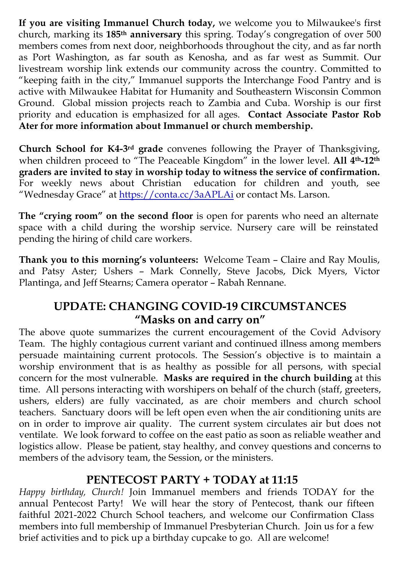If you are visiting Immanuel Church today, we welcome you to Milwaukee's first church, marking its 185th anniversary this spring. Today's congregation of over 500 members comes from next door, neighborhoods throughout the city, and as far north as Port Washington, as far south as Kenosha, and as far west as Summit. Our livestream worship link extends our community across the country. Committed to "keeping faith in the city," Immanuel supports the Interchange Food Pantry and is active with Milwaukee Habitat for Humanity and Southeastern Wisconsin Common Ground. Global mission projects reach to Zambia and Cuba. Worship is our first priority and education is emphasized for all ages. Contact Associate Pastor Rob Ater for more information about Immanuel or church membership.

Church School for K4-3rd grade convenes following the Prayer of Thanksgiving, when children proceed to "The Peaceable Kingdom" in the lower level. All 4<sup>th</sup>-12<sup>th</sup> graders are invited to stay in worship today to witness the service of confirmation. For weekly news about Christian education for children and youth, see "Wednesday Grace" at https://conta.cc/3aAPLAi or contact Ms. Larson.

The "crying room" on the second floor is open for parents who need an alternate space with a child during the worship service. Nursery care will be reinstated pending the hiring of child care workers.

Thank you to this morning's volunteers: Welcome Team – Claire and Ray Moulis, and Patsy Aster; Ushers – Mark Connelly, Steve Jacobs, Dick Myers, Victor Plantinga, and Jeff Stearns; Camera operator – Rabah Rennane.

### UPDATE: CHANGING COVID-19 CIRCUMSTANCES "Masks on and carry on"

The above quote summarizes the current encouragement of the Covid Advisory Team. The highly contagious current variant and continued illness among members persuade maintaining current protocols. The Session's objective is to maintain a worship environment that is as healthy as possible for all persons, with special concern for the most vulnerable. Masks are required in the church building at this time. All persons interacting with worshipers on behalf of the church (staff, greeters, ushers, elders) are fully vaccinated, as are choir members and church school teachers. Sanctuary doors will be left open even when the air conditioning units are on in order to improve air quality. The current system circulates air but does not ventilate. We look forward to coffee on the east patio as soon as reliable weather and logistics allow. Please be patient, stay healthy, and convey questions and concerns to members of the advisory team, the Session, or the ministers.

### PENTECOST PARTY + TODAY at 11:15

Happy birthday, Church! Join Immanuel members and friends TODAY for the annual Pentecost Party! We will hear the story of Pentecost, thank our fifteen faithful 2021-2022 Church School teachers, and welcome our Confirmation Class members into full membership of Immanuel Presbyterian Church. Join us for a few brief activities and to pick up a birthday cupcake to go. All are welcome!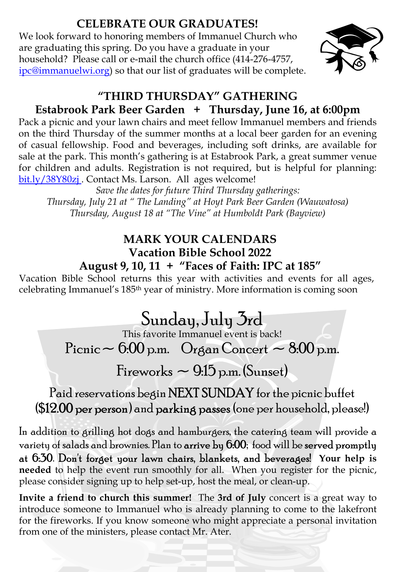# CELEBRATE OUR GRADUATES!

We look forward to honoring members of Immanuel Church who are graduating this spring. Do you have a graduate in your household? Please call or e-mail the church office (414-276-4757, ipc@immanuelwi.org) so that our list of graduates will be complete.



### "THIRD THURSDAY" GATHERING Estabrook Park Beer Garden + Thursday, June 16, at 6:00pm

Pack a picnic and your lawn chairs and meet fellow Immanuel members and friends on the third Thursday of the summer months at a local beer garden for an evening of casual fellowship. Food and beverages, including soft drinks, are available for sale at the park. This month's gathering is at Estabrook Park, a great summer venue for children and adults. Registration is not required, but is helpful for planning: bit.ly/38Y80zj . Contact Ms. Larson. All ages welcome!

Save the dates for future Third Thursday gatherings: Thursday, July 21 at " The Landing" at Hoyt Park Beer Garden (Wauwatosa) Thursday, August 18 at "The Vine" at Humboldt Park (Bayview)

### MARK YOUR CALENDARS Vacation Bible School 2022 August 9, 10, 11 + "Faces of Faith: IPC at 185"

Vacation Bible School returns this year with activities and events for all ages, celebrating Immanuel's 185th year of ministry. More information is coming soon

# Sunday, July 3rd

This favorite Immanuel event is back!

Picnic  $\sim 6.00$  p.m. Organ Concert  $\sim 8.00$  p.m.

Fireworks  $\sim$  9.15 p.m. (Sunset)

Paid reservations begin NEXT SUNDAY for the picnic buffet (\$12.00 per person) and parking passes (one per household, please!)

In addition to grilling hot dogs and hamburgers, the catering team will provide a variety of salads and brownies. Plan to arrive by 6:00; food will be served promptly at 6:30. Don't forget your lawn chairs, blankets, and beverages! Your help is needed to help the event run smoothly for all. When you register for the picnic, please consider signing up to help set-up, host the meal, or clean-up.

Invite a friend to church this summer! The 3rd of July concert is a great way to introduce someone to Immanuel who is already planning to come to the lakefront for the fireworks. If you know someone who might appreciate a personal invitation from one of the ministers, please contact Mr. Ater.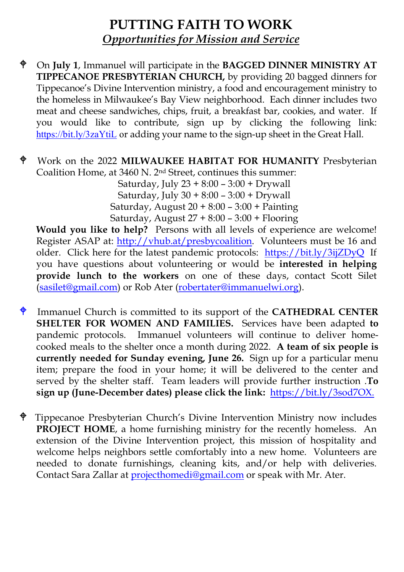# PUTTING FAITH TO WORK Opportunities for Mission and Service

- On July 1, Immanuel will participate in the BAGGED DINNER MINISTRY AT TIPPECANOE PRESBYTERIAN CHURCH, by providing 20 bagged dinners for Tippecanoe's Divine Intervention ministry, a food and encouragement ministry to the homeless in Milwaukee's Bay View neighborhood. Each dinner includes two meat and cheese sandwiches, chips, fruit, a breakfast bar, cookies, and water. If you would like to contribute, sign up by clicking the following link: https://bit.ly/3zaYtiL or adding your name to the sign-up sheet in the Great Hall.
- Work on the 2022 MILWAUKEE HABITAT FOR HUMANITY Presbyterian Coalition Home, at 3460 N. 2nd Street, continues this summer:

Saturday, July 23 + 8:00 – 3:00 + Drywall Saturday, July 30 + 8:00 – 3:00 + Drywall Saturday, August 20 + 8:00 – 3:00 + Painting Saturday, August 27 + 8:00 – 3:00 + Flooring

Would you like to help? Persons with all levels of experience are welcome! Register ASAP at: http://vhub.at/presbycoalition. Volunteers must be 16 and older. Click here for the latest pandemic protocols: https://bit.ly/3ijZDyQ If you have questions about volunteering or would be interested in helping provide lunch to the workers on one of these days, contact Scott Silet (sasilet@gmail.com) or Rob Ater (robertater@immanuelwi.org).

- $\oint$  Immanuel Church is committed to its support of the **CATHEDRAL CENTER** SHELTER FOR WOMEN AND FAMILIES. Services have been adapted to pandemic protocols. Immanuel volunteers will continue to deliver homecooked meals to the shelter once a month during 2022. A team of six people is currently needed for Sunday evening, June 26. Sign up for a particular menu item; prepare the food in your home; it will be delivered to the center and served by the shelter staff. Team leaders will provide further instruction .To sign up (June-December dates) please click the link: https://bit.ly/3sod7OX.
- Tippecanoe Presbyterian Church's Divine Intervention Ministry now includes PROJECT HOME, a home furnishing ministry for the recently homeless. An extension of the Divine Intervention project, this mission of hospitality and welcome helps neighbors settle comfortably into a new home. Volunteers are needed to donate furnishings, cleaning kits, and/or help with deliveries. Contact Sara Zallar at projecthomedi@gmail.com or speak with Mr. Ater.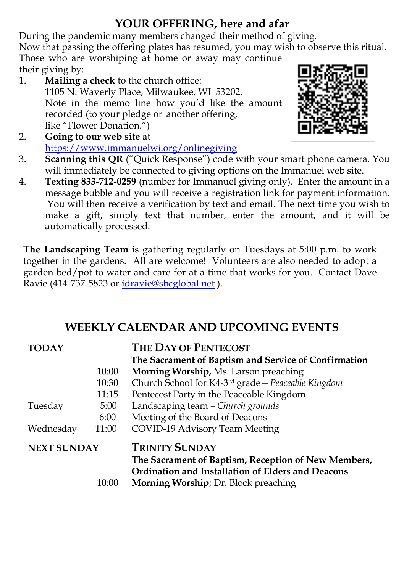# YOUR OFFERING, here and afar

During the pandemic many members changed their method of giving.

Now that passing the offering plates has resumed, you may wish to observe this ritual. Those who are worshiping at home or away may continue

- their giving by: 1. Mailing a check to the church office: 1105 N. Waverly Place, Milwaukee, WI 53202. Note in the memo line how you'd like the amount recorded (to your pledge or another offering, like "Flower Donation.")
- 2. Going to our web site at https://www.immanuelwi.org/onlinegiving
- 3. Scanning this QR ("Quick Response") code with your smart phone camera. You will immediately be connected to giving options on the Immanuel web site.
- 4. Texting 833-712-0259 (number for Immanuel giving only). Enter the amount in a message bubble and you will receive a registration link for payment information. You will then receive a verification by text and email. The next time you wish to make a gift, simply text that number, enter the amount, and it will be automatically processed.

The Landscaping Team is gathering regularly on Tuesdays at 5:00 p.m. to work together in the gardens. All are welcome! Volunteers are also needed to adopt a garden bed/pot to water and care for at a time that works for you. Contact Dave Ravie (414-737-5823 or idravie@sbcglobal.net ).

# WEEKLY CALENDAR AND UPCOMING EVENTS

| <b>TODAY</b>       |       | <b>THE DAY OF PENTECOST</b>                                  |
|--------------------|-------|--------------------------------------------------------------|
|                    |       | The Sacrament of Baptism and Service of Confirmation         |
|                    | 10:00 | Morning Worship, Ms. Larson preaching                        |
|                    | 10:30 | Church School for K4-3 <sup>rd</sup> grade-Peaceable Kingdom |
|                    | 11:15 | Pentecost Party in the Peaceable Kingdom                     |
| Tuesday            | 5:00  | Landscaping team - Church grounds                            |
|                    | 6:00  | Meeting of the Board of Deacons                              |
| Wednesday          | 11:00 | COVID-19 Advisory Team Meeting                               |
| <b>NEXT SUNDAY</b> |       | <b>TRINITY SUNDAY</b>                                        |
|                    |       | The Sacrament of Baptism, Reception of New Members,          |
|                    |       | Ordination and Installation of Elders and Deacons            |
|                    | 10:00 | <b>Morning Worship</b> ; Dr. Block preaching                 |